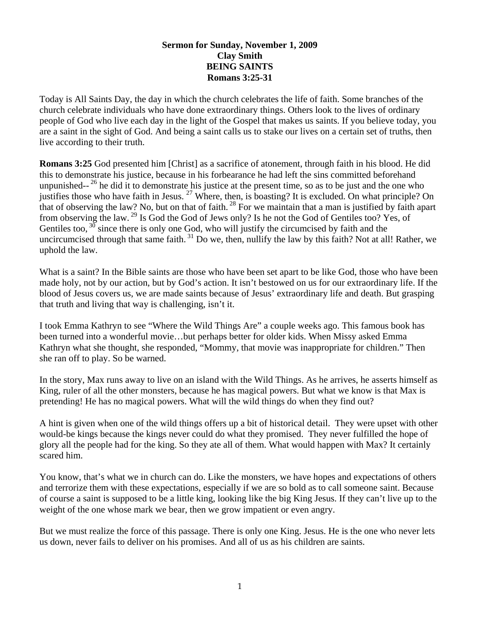## **Sermon for Sunday, November 1, 2009 Clay Smith BEING SAINTS Romans 3:25-31**

Today is All Saints Day, the day in which the church celebrates the life of faith. Some branches of the church celebrate individuals who have done extraordinary things. Others look to the lives of ordinary people of God who live each day in the light of the Gospel that makes us saints. If you believe today, you are a saint in the sight of God. And being a saint calls us to stake our lives on a certain set of truths, then live according to their truth.

**Romans 3:25** God presented him [Christ] as a sacrifice of atonement, through faith in his blood. He did this to demonstrate his justice, because in his forbearance he had left the sins committed beforehand unpunished- $2^6$  he did it to demonstrate his justice at the present time, so as to be just and the one who justifies those who have faith in Jesus. <sup>27</sup> Where, then, is boasting? It is excluded. On what principle? On that of observing the law? No, but on that of faith. 28 For we maintain that a man is justified by faith apart from observing the law. 29 Is God the God of Jews only? Is he not the God of Gentiles too? Yes, of Gentiles too,  $3\overline{0}$  since there is only one God, who will justify the circumcised by faith and the uncircumcised through that same faith.  $31$  Do we, then, nullify the law by this faith? Not at all! Rather, we uphold the law.

What is a saint? In the Bible saints are those who have been set apart to be like God, those who have been made holy, not by our action, but by God's action. It isn't bestowed on us for our extraordinary life. If the blood of Jesus covers us, we are made saints because of Jesus' extraordinary life and death. But grasping that truth and living that way is challenging, isn't it.

I took Emma Kathryn to see "Where the Wild Things Are" a couple weeks ago. This famous book has been turned into a wonderful movie…but perhaps better for older kids. When Missy asked Emma Kathryn what she thought, she responded, "Mommy, that movie was inappropriate for children." Then she ran off to play. So be warned.

In the story, Max runs away to live on an island with the Wild Things. As he arrives, he asserts himself as King, ruler of all the other monsters, because he has magical powers. But what we know is that Max is pretending! He has no magical powers. What will the wild things do when they find out?

A hint is given when one of the wild things offers up a bit of historical detail. They were upset with other would-be kings because the kings never could do what they promised. They never fulfilled the hope of glory all the people had for the king. So they ate all of them. What would happen with Max? It certainly scared him.

You know, that's what we in church can do. Like the monsters, we have hopes and expectations of others and terrorize them with these expectations, especially if we are so bold as to call someone saint. Because of course a saint is supposed to be a little king, looking like the big King Jesus. If they can't live up to the weight of the one whose mark we bear, then we grow impatient or even angry.

But we must realize the force of this passage. There is only one King. Jesus. He is the one who never lets us down, never fails to deliver on his promises. And all of us as his children are saints.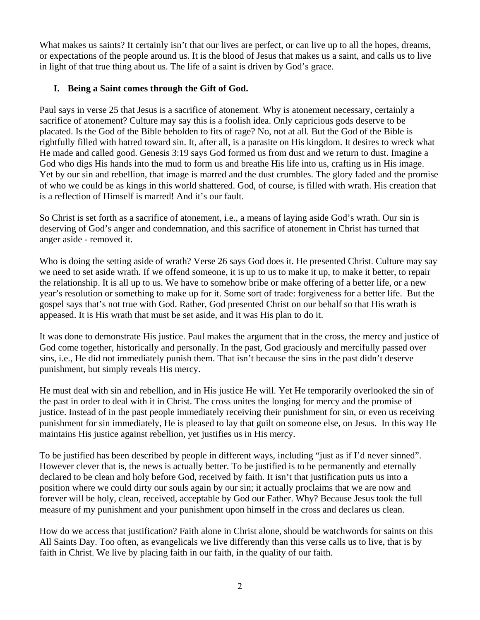What makes us saints? It certainly isn't that our lives are perfect, or can live up to all the hopes, dreams, or expectations of the people around us. It is the blood of Jesus that makes us a saint, and calls us to live in light of that true thing about us. The life of a saint is driven by God's grace.

# **I. Being a Saint comes through the Gift of God.**

Paul says in verse 25 that Jesus is a sacrifice of atonement. Why is atonement necessary, certainly a sacrifice of atonement? Culture may say this is a foolish idea. Only capricious gods deserve to be placated. Is the God of the Bible beholden to fits of rage? No, not at all. But the God of the Bible is rightfully filled with hatred toward sin. It, after all, is a parasite on His kingdom. It desires to wreck what He made and called good. Genesis 3:19 says God formed us from dust and we return to dust. Imagine a God who digs His hands into the mud to form us and breathe His life into us, crafting us in His image. Yet by our sin and rebellion, that image is marred and the dust crumbles. The glory faded and the promise of who we could be as kings in this world shattered. God, of course, is filled with wrath. His creation that is a reflection of Himself is marred! And it's our fault.

So Christ is set forth as a sacrifice of atonement, i.e., a means of laying aside God's wrath. Our sin is deserving of God's anger and condemnation, and this sacrifice of atonement in Christ has turned that anger aside - removed it.

Who is doing the setting aside of wrath? Verse 26 says God does it. He presented Christ. Culture may say we need to set aside wrath. If we offend someone, it is up to us to make it up, to make it better, to repair the relationship. It is all up to us. We have to somehow bribe or make offering of a better life, or a new year's resolution or something to make up for it. Some sort of trade: forgiveness for a better life. But the gospel says that's not true with God. Rather, God presented Christ on our behalf so that His wrath is appeased. It is His wrath that must be set aside, and it was His plan to do it.

It was done to demonstrate His justice. Paul makes the argument that in the cross, the mercy and justice of God come together, historically and personally. In the past, God graciously and mercifully passed over sins, i.e., He did not immediately punish them. That isn't because the sins in the past didn't deserve punishment, but simply reveals His mercy.

He must deal with sin and rebellion, and in His justice He will. Yet He temporarily overlooked the sin of the past in order to deal with it in Christ. The cross unites the longing for mercy and the promise of justice. Instead of in the past people immediately receiving their punishment for sin, or even us receiving punishment for sin immediately, He is pleased to lay that guilt on someone else, on Jesus. In this way He maintains His justice against rebellion, yet justifies us in His mercy.

To be justified has been described by people in different ways, including "just as if I'd never sinned". However clever that is, the news is actually better. To be justified is to be permanently and eternally declared to be clean and holy before God, received by faith. It isn't that justification puts us into a position where we could dirty our souls again by our sin; it actually proclaims that we are now and forever will be holy, clean, received, acceptable by God our Father. Why? Because Jesus took the full measure of my punishment and your punishment upon himself in the cross and declares us clean.

How do we access that justification? Faith alone in Christ alone, should be watchwords for saints on this All Saints Day. Too often, as evangelicals we live differently than this verse calls us to live, that is by faith in Christ. We live by placing faith in our faith, in the quality of our faith.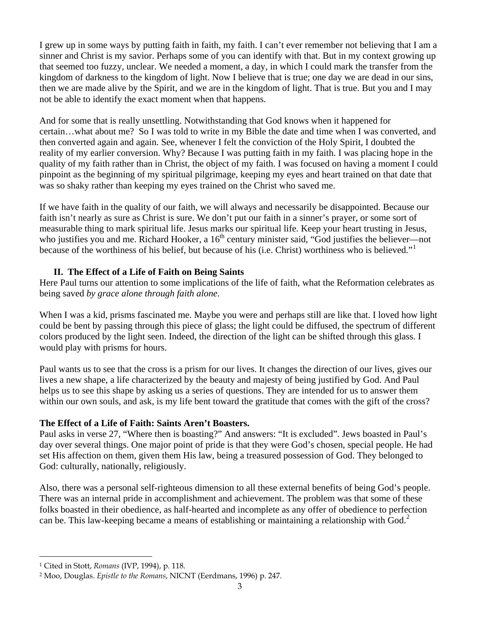I grew up in some ways by putting faith in faith, my faith. I can't ever remember not believing that I am a sinner and Christ is my savior. Perhaps some of you can identify with that. But in my context growing up that seemed too fuzzy, unclear. We needed a moment, a day, in which I could mark the transfer from the kingdom of darkness to the kingdom of light. Now I believe that is true; one day we are dead in our sins, then we are made alive by the Spirit, and we are in the kingdom of light. That is true. But you and I may not be able to identify the exact moment when that happens.

And for some that is really unsettling. Notwithstanding that God knows when it happened for certain…what about me? So I was told to write in my Bible the date and time when I was converted, and then converted again and again. See, whenever I felt the conviction of the Holy Spirit, I doubted the reality of my earlier conversion. Why? Because I was putting faith in my faith. I was placing hope in the quality of my faith rather than in Christ, the object of my faith. I was focused on having a moment I could pinpoint as the beginning of my spiritual pilgrimage, keeping my eyes and heart trained on that date that was so shaky rather than keeping my eyes trained on the Christ who saved me.

If we have faith in the quality of our faith, we will always and necessarily be disappointed. Because our faith isn't nearly as sure as Christ is sure. We don't put our faith in a sinner's prayer, or some sort of measurable thing to mark spiritual life. Jesus marks our spiritual life. Keep your heart trusting in Jesus, who justifies you and me. Richard Hooker, a  $16<sup>th</sup>$  century minister said, "God justifies the believer—not because of the worthiness of his belief, but because of his (i.e. Christ) worthiness who is believed."[1](#page-2-0)

# **II. The Effect of a Life of Faith on Being Saints**

Here Paul turns our attention to some implications of the life of faith, what the Reformation celebrates as being saved *by grace alone through faith alone*.

When I was a kid, prisms fascinated me. Maybe you were and perhaps still are like that. I loved how light could be bent by passing through this piece of glass; the light could be diffused, the spectrum of different colors produced by the light seen. Indeed, the direction of the light can be shifted through this glass. I would play with prisms for hours.

Paul wants us to see that the cross is a prism for our lives. It changes the direction of our lives, gives our lives a new shape, a life characterized by the beauty and majesty of being justified by God. And Paul helps us to see this shape by asking us a series of questions. They are intended for us to answer them within our own souls, and ask, is my life bent toward the gratitude that comes with the gift of the cross?

## **The Effect of a Life of Faith: Saints Aren't Boasters.**

Paul asks in verse 27, "Where then is boasting?" And answers: "It is excluded". Jews boasted in Paul's day over several things. One major point of pride is that they were God's chosen, special people. He had set His affection on them, given them His law, being a treasured possession of God. They belonged to God: culturally, nationally, religiously.

Also, there was a personal self-righteous dimension to all these external benefits of being God's people. There was an internal pride in accomplishment and achievement. The problem was that some of these folks boasted in their obedience, as half-hearted and incomplete as any offer of obedience to perfection can be. This law-keeping became a means of establishing or maintaining a relationship with God.<sup>[2](#page-2-1)</sup>

 $\overline{a}$ 

<span id="page-2-0"></span><sup>1</sup> Cited in Stott, *Romans* (IVP, 1994), p. 118.

<span id="page-2-1"></span><sup>2</sup> Moo, Douglas. *Epistle to the Romans*, NICNT (Eerdmans, 1996) p. 247.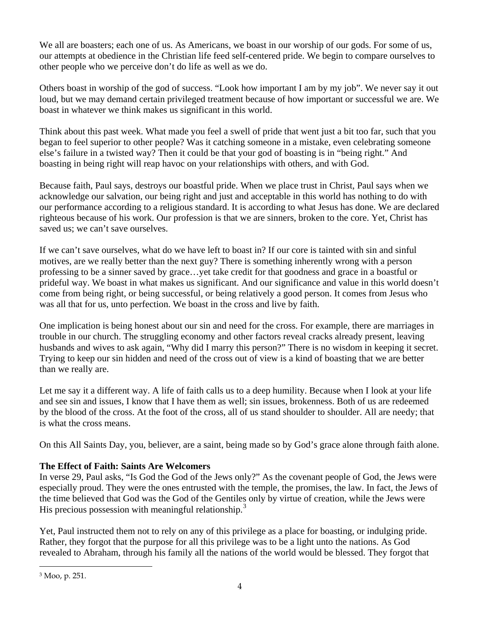We all are boasters; each one of us. As Americans, we boast in our worship of our gods. For some of us, our attempts at obedience in the Christian life feed self-centered pride. We begin to compare ourselves to other people who we perceive don't do life as well as we do.

Others boast in worship of the god of success. "Look how important I am by my job". We never say it out loud, but we may demand certain privileged treatment because of how important or successful we are. We boast in whatever we think makes us significant in this world.

Think about this past week. What made you feel a swell of pride that went just a bit too far, such that you began to feel superior to other people? Was it catching someone in a mistake, even celebrating someone else's failure in a twisted way? Then it could be that your god of boasting is in "being right." And boasting in being right will reap havoc on your relationships with others, and with God.

Because faith, Paul says, destroys our boastful pride. When we place trust in Christ, Paul says when we acknowledge our salvation, our being right and just and acceptable in this world has nothing to do with our performance according to a religious standard. It is according to what Jesus has done. We are declared righteous because of his work. Our profession is that we are sinners, broken to the core. Yet, Christ has saved us; we can't save ourselves.

If we can't save ourselves, what do we have left to boast in? If our core is tainted with sin and sinful motives, are we really better than the next guy? There is something inherently wrong with a person professing to be a sinner saved by grace…yet take credit for that goodness and grace in a boastful or prideful way. We boast in what makes us significant. And our significance and value in this world doesn't come from being right, or being successful, or being relatively a good person. It comes from Jesus who was all that for us, unto perfection. We boast in the cross and live by faith.

One implication is being honest about our sin and need for the cross. For example, there are marriages in trouble in our church. The struggling economy and other factors reveal cracks already present, leaving husbands and wives to ask again, "Why did I marry this person?" There is no wisdom in keeping it secret. Trying to keep our sin hidden and need of the cross out of view is a kind of boasting that we are better than we really are.

Let me say it a different way. A life of faith calls us to a deep humility. Because when I look at your life and see sin and issues, I know that I have them as well; sin issues, brokenness. Both of us are redeemed by the blood of the cross. At the foot of the cross, all of us stand shoulder to shoulder. All are needy; that is what the cross means.

On this All Saints Day, you, believer, are a saint, being made so by God's grace alone through faith alone.

# **The Effect of Faith: Saints Are Welcomers**

In verse 29, Paul asks, "Is God the God of the Jews only?" As the covenant people of God, the Jews were especially proud. They were the ones entrusted with the temple, the promises, the law. In fact, the Jews of the time believed that God was the God of the Gentiles only by virtue of creation, while the Jews were His precious possession with meaningful relationship.<sup>[3](#page-3-0)</sup>

Yet, Paul instructed them not to rely on any of this privilege as a place for boasting, or indulging pride. Rather, they forgot that the purpose for all this privilege was to be a light unto the nations. As God revealed to Abraham, through his family all the nations of the world would be blessed. They forgot that

 $\overline{a}$ 

<span id="page-3-0"></span><sup>3</sup> Moo, p. 251.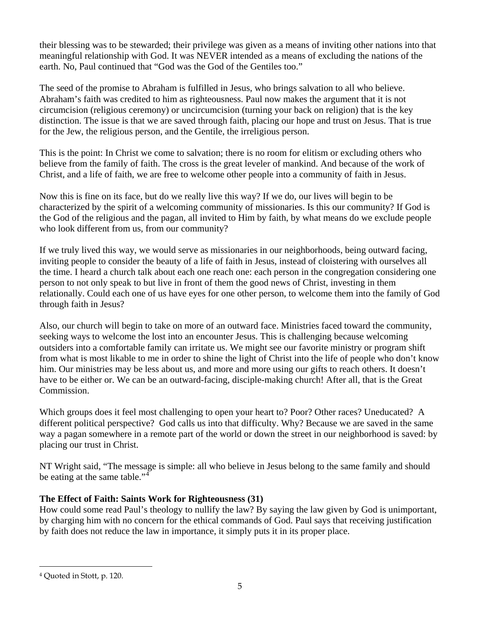their blessing was to be stewarded; their privilege was given as a means of inviting other nations into that meaningful relationship with God. It was NEVER intended as a means of excluding the nations of the earth. No, Paul continued that "God was the God of the Gentiles too."

The seed of the promise to Abraham is fulfilled in Jesus, who brings salvation to all who believe. Abraham's faith was credited to him as righteousness. Paul now makes the argument that it is not circumcision (religious ceremony) or uncircumcision (turning your back on religion) that is the key distinction. The issue is that we are saved through faith, placing our hope and trust on Jesus. That is true for the Jew, the religious person, and the Gentile, the irreligious person.

This is the point: In Christ we come to salvation; there is no room for elitism or excluding others who believe from the family of faith. The cross is the great leveler of mankind. And because of the work of Christ, and a life of faith, we are free to welcome other people into a community of faith in Jesus.

Now this is fine on its face, but do we really live this way? If we do, our lives will begin to be characterized by the spirit of a welcoming community of missionaries. Is this our community? If God is the God of the religious and the pagan, all invited to Him by faith, by what means do we exclude people who look different from us, from our community?

If we truly lived this way, we would serve as missionaries in our neighborhoods, being outward facing, inviting people to consider the beauty of a life of faith in Jesus, instead of cloistering with ourselves all the time. I heard a church talk about each one reach one: each person in the congregation considering one person to not only speak to but live in front of them the good news of Christ, investing in them relationally. Could each one of us have eyes for one other person, to welcome them into the family of God through faith in Jesus?

Also, our church will begin to take on more of an outward face. Ministries faced toward the community, seeking ways to welcome the lost into an encounter Jesus. This is challenging because welcoming outsiders into a comfortable family can irritate us. We might see our favorite ministry or program shift from what is most likable to me in order to shine the light of Christ into the life of people who don't know him. Our ministries may be less about us, and more and more using our gifts to reach others. It doesn't have to be either or. We can be an outward-facing, disciple-making church! After all, that is the Great Commission.

Which groups does it feel most challenging to open your heart to? Poor? Other races? Uneducated? A different political perspective? God calls us into that difficulty. Why? Because we are saved in the same way a pagan somewhere in a remote part of the world or down the street in our neighborhood is saved: by placing our trust in Christ.

NT Wright said, "The message is simple: all who believe in Jesus belong to the same family and should be eating at the same table."<sup>[4](#page-4-0)</sup>

# **The Effect of Faith: Saints Work for Righteousness (31)**

How could some read Paul's theology to nullify the law? By saying the law given by God is unimportant, by charging him with no concern for the ethical commands of God. Paul says that receiving justification by faith does not reduce the law in importance, it simply puts it in its proper place.

 $\overline{a}$ 

<span id="page-4-0"></span><sup>4</sup> Quoted in Stott, p. 120.